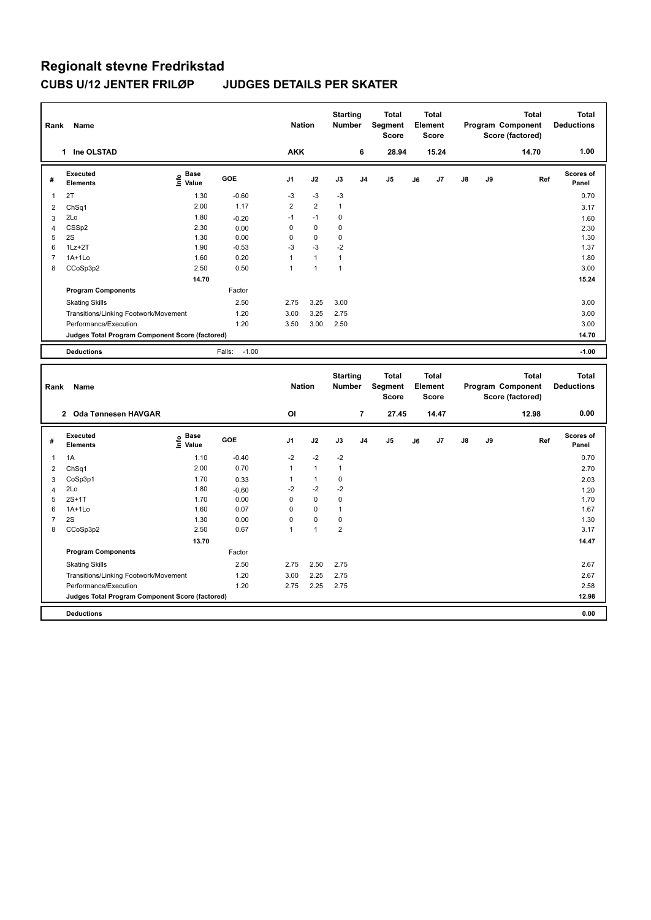| Rank                    | Name                                            |                              |                   | <b>Nation</b>        |                        | <b>Starting</b><br><b>Number</b> |                | Total<br>Segment<br><b>Score</b>        |    | <b>Total</b><br>Element<br><b>Score</b> |    |    | <b>Total</b><br>Program Component<br>Score (factored) | <b>Total</b><br><b>Deductions</b> |
|-------------------------|-------------------------------------------------|------------------------------|-------------------|----------------------|------------------------|----------------------------------|----------------|-----------------------------------------|----|-----------------------------------------|----|----|-------------------------------------------------------|-----------------------------------|
|                         | 1 Ine OLSTAD                                    |                              |                   | <b>AKK</b>           |                        |                                  | 6              | 28.94                                   |    | 15.24                                   |    |    | 14.70                                                 | 1.00                              |
| #                       | Executed<br><b>Elements</b>                     | <b>Base</b><br>lnfo<br>Value | <b>GOE</b>        | J <sub>1</sub>       | J2                     | J3                               | J <sub>4</sub> | J <sub>5</sub>                          | J6 | J7                                      | J8 | J9 | Ref                                                   | <b>Scores of</b><br>Panel         |
| 1                       | 2T                                              | 1.30                         | $-0.60$           | $-3$                 | $-3$                   | $-3$                             |                |                                         |    |                                         |    |    |                                                       | 0.70                              |
| $\overline{\mathbf{c}}$ | ChSq1                                           | 2.00                         | 1.17              | $\overline{2}$       | $\overline{2}$         | $\mathbf{1}$                     |                |                                         |    |                                         |    |    |                                                       | 3.17                              |
| 3                       | 2Lo                                             | 1.80                         | $-0.20$           | $-1$                 | $-1$                   | 0                                |                |                                         |    |                                         |    |    |                                                       | 1.60                              |
| 4                       | CSSp2                                           | 2.30                         | 0.00              | 0                    | $\pmb{0}$              | $\pmb{0}$                        |                |                                         |    |                                         |    |    |                                                       | 2.30                              |
| 5                       | 2S                                              | 1.30                         | 0.00              | 0                    | $\mathbf 0$            | 0                                |                |                                         |    |                                         |    |    |                                                       | 1.30                              |
| 6<br>$\overline{7}$     | $1Lz + 2T$<br>$1A+1L0$                          | 1.90<br>1.60                 | $-0.53$<br>0.20   | $-3$<br>$\mathbf{1}$ | $-3$<br>$\overline{1}$ | $-2$<br>$\mathbf{1}$             |                |                                         |    |                                         |    |    |                                                       | 1.37<br>1.80                      |
| 8                       | CCoSp3p2                                        | 2.50                         | 0.50              | 1                    | $\overline{1}$         | $\mathbf{1}$                     |                |                                         |    |                                         |    |    |                                                       | 3.00                              |
|                         |                                                 | 14.70                        |                   |                      |                        |                                  |                |                                         |    |                                         |    |    |                                                       | 15.24                             |
|                         | <b>Program Components</b>                       |                              | Factor            |                      |                        |                                  |                |                                         |    |                                         |    |    |                                                       |                                   |
|                         | <b>Skating Skills</b>                           |                              | 2.50              | 2.75                 | 3.25                   | 3.00                             |                |                                         |    |                                         |    |    |                                                       | 3.00                              |
|                         | Transitions/Linking Footwork/Movement           |                              | 1.20              | 3.00                 | 3.25                   | 2.75                             |                |                                         |    |                                         |    |    |                                                       | 3.00                              |
|                         | Performance/Execution                           |                              | 1.20              | 3.50                 | 3.00                   | 2.50                             |                |                                         |    |                                         |    |    |                                                       | 3.00                              |
|                         | Judges Total Program Component Score (factored) |                              |                   |                      |                        |                                  |                |                                         |    |                                         |    |    |                                                       | 14.70                             |
|                         |                                                 |                              |                   |                      |                        |                                  |                |                                         |    |                                         |    |    |                                                       |                                   |
|                         | <b>Deductions</b>                               |                              | $-1.00$<br>Falls: |                      |                        |                                  |                |                                         |    |                                         |    |    |                                                       | $-1.00$                           |
|                         |                                                 |                              |                   |                      |                        |                                  |                |                                         |    |                                         |    |    |                                                       |                                   |
| Rank                    | Name                                            |                              |                   | <b>Nation</b>        |                        | <b>Starting</b><br><b>Number</b> |                | <b>Total</b><br>Segment<br><b>Score</b> |    | <b>Total</b><br>Element<br><b>Score</b> |    |    | <b>Total</b><br>Program Component<br>Score (factored) | <b>Total</b><br><b>Deductions</b> |
|                         | 2 Oda Tønnesen HAVGAR                           |                              |                   | OI                   |                        |                                  | 7              | 27.45                                   |    | 14.47                                   |    |    | 12.98                                                 | 0.00                              |
| #                       | Executed<br><b>Elements</b>                     | <b>Base</b><br>١nfo<br>Value | GOE               | J1                   | J2                     | J3                               | J <sub>4</sub> | J5                                      | J6 | J7                                      | J8 | J9 | Ref                                                   | <b>Scores of</b><br>Panel         |
| 1                       | 1A                                              | 1.10                         | $-0.40$           | $-2$                 | $-2$                   | $-2$                             |                |                                         |    |                                         |    |    |                                                       | 0.70                              |
| $\overline{\mathbf{c}}$ | ChSq1                                           | 2.00                         | 0.70              | $\mathbf{1}$         | $\mathbf{1}$           | $\mathbf{1}$                     |                |                                         |    |                                         |    |    |                                                       | 2.70                              |
| 3                       | CoSp3p1                                         | 1.70                         | 0.33              | 1                    | $\mathbf{1}$           | $\mathbf 0$                      |                |                                         |    |                                         |    |    |                                                       | 2.03                              |
| 4                       | 2Lo                                             | 1.80                         | $-0.60$           | $-2$                 | $-2$                   | $-2$                             |                |                                         |    |                                         |    |    |                                                       | 1.20                              |
| 5                       | $2S+1T$                                         | 1.70                         | 0.00              | 0                    | $\mathbf 0$            | $\pmb{0}$                        |                |                                         |    |                                         |    |    |                                                       | 1.70                              |
| 6                       | 1A+1Lo                                          | 1.60                         | 0.07              | 0                    | $\pmb{0}$              | $\mathbf{1}$                     |                |                                         |    |                                         |    |    |                                                       | 1.67                              |
| $\overline{7}$          | 2S                                              | 1.30                         | 0.00              | 0                    | $\pmb{0}$              | $\pmb{0}$                        |                |                                         |    |                                         |    |    |                                                       | 1.30                              |
| 8                       | CCoSp3p2                                        | 2.50                         | 0.67              | $\mathbf{1}$         | $\overline{1}$         | $\overline{2}$                   |                |                                         |    |                                         |    |    |                                                       | 3.17                              |
|                         |                                                 | 13.70                        |                   |                      |                        |                                  |                |                                         |    |                                         |    |    |                                                       | 14.47                             |
|                         | <b>Program Components</b>                       |                              | Factor            |                      |                        |                                  |                |                                         |    |                                         |    |    |                                                       |                                   |
|                         | <b>Skating Skills</b>                           |                              | 2.50              | 2.75                 | 2.50                   | 2.75                             |                |                                         |    |                                         |    |    |                                                       | 2.67                              |
|                         | Transitions/Linking Footwork/Movement           |                              | 1.20              | 3.00                 | 2.25                   | 2.75                             |                |                                         |    |                                         |    |    |                                                       | 2.67                              |
|                         | Performance/Execution                           |                              | 1.20              | 2.75                 | 2.25                   | 2.75                             |                |                                         |    |                                         |    |    |                                                       | 2.58                              |
|                         | Judges Total Program Component Score (factored) |                              |                   |                      |                        |                                  |                |                                         |    |                                         |    |    |                                                       | 12.98                             |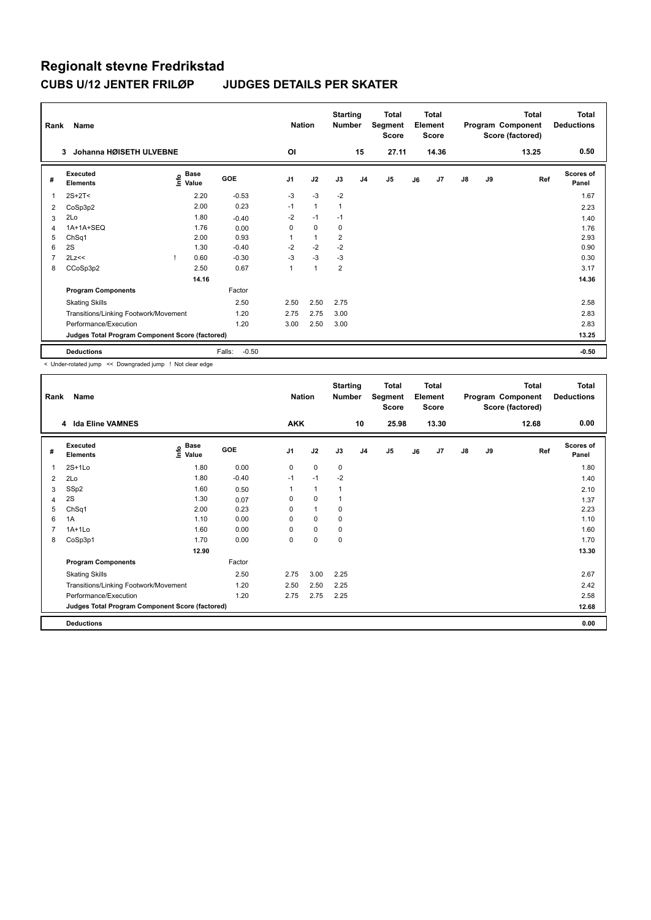| Rank | Name                                            |                              |                   | <b>Nation</b>  |              | <b>Starting</b><br><b>Number</b> |                | Total<br>Segment<br><b>Score</b> |    | <b>Total</b><br>Element<br><b>Score</b> |               |    | <b>Total</b><br>Program Component<br>Score (factored) | <b>Total</b><br><b>Deductions</b> |
|------|-------------------------------------------------|------------------------------|-------------------|----------------|--------------|----------------------------------|----------------|----------------------------------|----|-----------------------------------------|---------------|----|-------------------------------------------------------|-----------------------------------|
|      | Johanna HØISETH ULVEBNE<br>3                    |                              |                   | <b>OI</b>      |              |                                  | 15             | 27.11                            |    | 14.36                                   |               |    | 13.25                                                 | 0.50                              |
| #    | Executed<br><b>Elements</b>                     | <b>Base</b><br>١nfo<br>Value | <b>GOE</b>        | J <sub>1</sub> | J2           | J3                               | J <sub>4</sub> | J5                               | J6 | J <sub>7</sub>                          | $\mathsf{J}8$ | J9 | Ref                                                   | <b>Scores of</b><br>Panel         |
|      | $2S+2T<$                                        | 2.20                         | $-0.53$           | $-3$           | $-3$         | $-2$                             |                |                                  |    |                                         |               |    |                                                       | 1.67                              |
| 2    | CoSp3p2                                         | 2.00                         | 0.23              | $-1$           | $\mathbf{1}$ | $\mathbf{1}$                     |                |                                  |    |                                         |               |    |                                                       | 2.23                              |
| 3    | 2Lo                                             | 1.80                         | $-0.40$           | $-2$           | $-1$         | $-1$                             |                |                                  |    |                                         |               |    |                                                       | 1.40                              |
| 4    | 1A+1A+SEQ                                       | 1.76                         | 0.00              | $\Omega$       | $\mathbf 0$  | 0                                |                |                                  |    |                                         |               |    |                                                       | 1.76                              |
| 5    | ChSq1                                           | 2.00                         | 0.93              |                | $\mathbf{1}$ | 2                                |                |                                  |    |                                         |               |    |                                                       | 2.93                              |
| 6    | 2S                                              | 1.30                         | $-0.40$           | $-2$           | $-2$         | $-2$                             |                |                                  |    |                                         |               |    |                                                       | 0.90                              |
| 7    | 2Lz<<                                           | 0.60                         | $-0.30$           | $-3$           | $-3$         | $-3$                             |                |                                  |    |                                         |               |    |                                                       | 0.30                              |
| 8    | CCoSp3p2                                        | 2.50                         | 0.67              | 1              | $\mathbf{1}$ | $\overline{2}$                   |                |                                  |    |                                         |               |    |                                                       | 3.17                              |
|      |                                                 | 14.16                        |                   |                |              |                                  |                |                                  |    |                                         |               |    |                                                       | 14.36                             |
|      | <b>Program Components</b>                       |                              | Factor            |                |              |                                  |                |                                  |    |                                         |               |    |                                                       |                                   |
|      | <b>Skating Skills</b>                           |                              | 2.50              | 2.50           | 2.50         | 2.75                             |                |                                  |    |                                         |               |    |                                                       | 2.58                              |
|      | Transitions/Linking Footwork/Movement           |                              | 1.20              | 2.75           | 2.75         | 3.00                             |                |                                  |    |                                         |               |    |                                                       | 2.83                              |
|      | Performance/Execution                           |                              | 1.20              | 3.00           | 2.50         | 3.00                             |                |                                  |    |                                         |               |    |                                                       | 2.83                              |
|      | Judges Total Program Component Score (factored) |                              |                   |                |              |                                  |                |                                  |    |                                         |               |    |                                                       | 13.25                             |
|      | <b>Deductions</b>                               |                              | $-0.50$<br>Falls: |                |              |                                  |                |                                  |    |                                         |               |    |                                                       | $-0.50$                           |

< Under-rotated jump << Downgraded jump ! Not clear edge

| Rank | Name                                            |                   |         | <b>Nation</b> |              | <b>Starting</b><br>Number |                | <b>Total</b><br>Segment<br><b>Score</b> |    | <b>Total</b><br>Element<br><b>Score</b> |               |    | <b>Total</b><br>Program Component<br>Score (factored) | <b>Total</b><br><b>Deductions</b> |
|------|-------------------------------------------------|-------------------|---------|---------------|--------------|---------------------------|----------------|-----------------------------------------|----|-----------------------------------------|---------------|----|-------------------------------------------------------|-----------------------------------|
|      | 4 Ida Eline VAMNES                              |                   |         | <b>AKK</b>    |              |                           | 10             | 25.98                                   |    | 13.30                                   |               |    | 12.68                                                 | 0.00                              |
| #    | Executed<br><b>Elements</b>                     | e Base<br>⊆ Value | GOE     | J1            | J2           | J3                        | J <sub>4</sub> | J <sub>5</sub>                          | J6 | J7                                      | $\mathsf{J}8$ | J9 | Ref                                                   | <b>Scores of</b><br>Panel         |
| 1    | $2S+1L0$                                        | 1.80              | 0.00    | 0             | $\mathbf 0$  | 0                         |                |                                         |    |                                         |               |    |                                                       | 1.80                              |
| 2    | 2Lo                                             | 1.80              | $-0.40$ | $-1$          | $-1$         | $-2$                      |                |                                         |    |                                         |               |    |                                                       | 1.40                              |
| 3    | SSp2                                            | 1.60              | 0.50    | 1             | $\mathbf{1}$ | 1                         |                |                                         |    |                                         |               |    |                                                       | 2.10                              |
| 4    | 2S                                              | 1.30              | 0.07    | 0             | $\mathbf 0$  | 1                         |                |                                         |    |                                         |               |    |                                                       | 1.37                              |
| 5    | ChSq1                                           | 2.00              | 0.23    | 0             | $\mathbf{1}$ | 0                         |                |                                         |    |                                         |               |    |                                                       | 2.23                              |
| 6    | 1A                                              | 1.10              | 0.00    | 0             | $\mathbf 0$  | 0                         |                |                                         |    |                                         |               |    |                                                       | 1.10                              |
| 7    | $1A+1L0$                                        | 1.60              | 0.00    | 0             | $\mathbf 0$  | 0                         |                |                                         |    |                                         |               |    |                                                       | 1.60                              |
| 8    | CoSp3p1                                         | 1.70              | 0.00    | 0             | $\pmb{0}$    | 0                         |                |                                         |    |                                         |               |    |                                                       | 1.70                              |
|      |                                                 | 12.90             |         |               |              |                           |                |                                         |    |                                         |               |    |                                                       | 13.30                             |
|      | <b>Program Components</b>                       |                   | Factor  |               |              |                           |                |                                         |    |                                         |               |    |                                                       |                                   |
|      | <b>Skating Skills</b>                           |                   | 2.50    | 2.75          | 3.00         | 2.25                      |                |                                         |    |                                         |               |    |                                                       | 2.67                              |
|      | Transitions/Linking Footwork/Movement           |                   | 1.20    | 2.50          | 2.50         | 2.25                      |                |                                         |    |                                         |               |    |                                                       | 2.42                              |
|      | Performance/Execution                           |                   | 1.20    | 2.75          | 2.75         | 2.25                      |                |                                         |    |                                         |               |    |                                                       | 2.58                              |
|      | Judges Total Program Component Score (factored) |                   |         |               |              |                           |                |                                         |    |                                         |               |    |                                                       | 12.68                             |
|      | <b>Deductions</b>                               |                   |         |               |              |                           |                |                                         |    |                                         |               |    |                                                       | 0.00                              |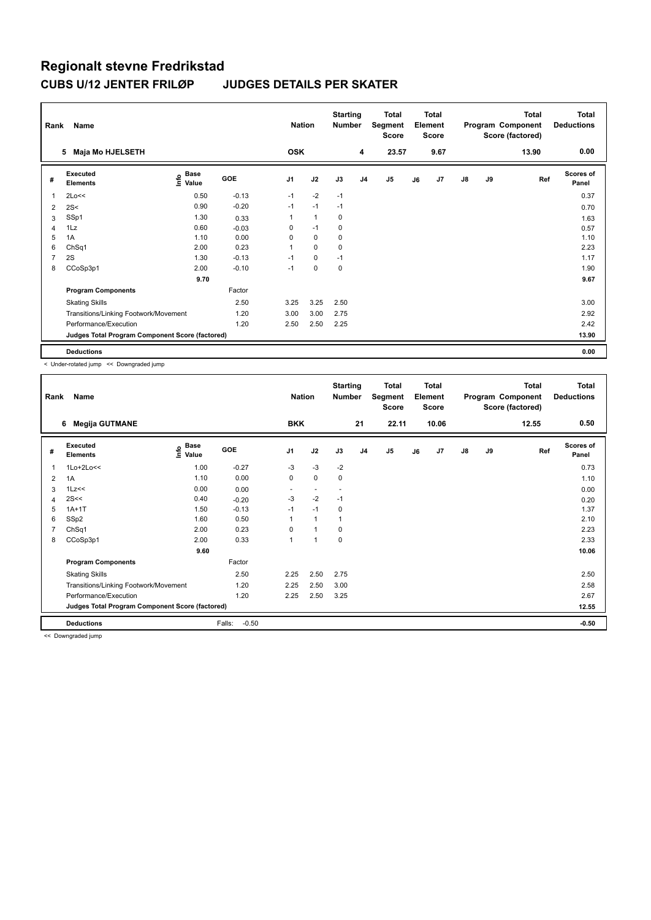| Rank           | Name                                            |                       |            | <b>Nation</b>  |              | <b>Starting</b><br><b>Number</b> |                | <b>Total</b><br>Segment<br><b>Score</b> |    | <b>Total</b><br>Element<br><b>Score</b> |               |    | <b>Total</b><br>Program Component<br>Score (factored) | <b>Total</b><br><b>Deductions</b> |
|----------------|-------------------------------------------------|-----------------------|------------|----------------|--------------|----------------------------------|----------------|-----------------------------------------|----|-----------------------------------------|---------------|----|-------------------------------------------------------|-----------------------------------|
|                | Maja Mo HJELSETH<br>5                           |                       |            | <b>OSK</b>     |              |                                  | 4              | 23.57                                   |    | 9.67                                    |               |    | 13.90                                                 | 0.00                              |
| #              | Executed<br><b>Elements</b>                     | Base<br>lnfo<br>Value | <b>GOE</b> | J <sub>1</sub> | J2           | J3                               | J <sub>4</sub> | J <sub>5</sub>                          | J6 | J7                                      | $\mathsf{J}8$ | J9 | Ref                                                   | <b>Scores of</b><br>Panel         |
| 1              | 2Lo<<                                           | 0.50                  | $-0.13$    | $-1$           | $-2$         | $-1$                             |                |                                         |    |                                         |               |    |                                                       | 0.37                              |
| 2              | 2S<                                             | 0.90                  | $-0.20$    | $-1$           | $-1$         | $-1$                             |                |                                         |    |                                         |               |    |                                                       | 0.70                              |
| 3              | SSp1                                            | 1.30                  | 0.33       |                | $\mathbf{1}$ | 0                                |                |                                         |    |                                         |               |    |                                                       | 1.63                              |
| $\overline{4}$ | 1Lz                                             | 0.60                  | $-0.03$    | 0              | $-1$         | 0                                |                |                                         |    |                                         |               |    |                                                       | 0.57                              |
| 5              | 1A                                              | 1.10                  | 0.00       | 0              | $\mathbf 0$  | $\mathbf 0$                      |                |                                         |    |                                         |               |    |                                                       | 1.10                              |
| 6              | ChSq1                                           | 2.00                  | 0.23       |                | $\mathbf 0$  | 0                                |                |                                         |    |                                         |               |    |                                                       | 2.23                              |
| $\overline{7}$ | 2S                                              | 1.30                  | $-0.13$    | $-1$           | $\mathbf 0$  | $-1$                             |                |                                         |    |                                         |               |    |                                                       | 1.17                              |
| 8              | CCoSp3p1                                        | 2.00                  | $-0.10$    | $-1$           | $\mathbf 0$  | $\mathbf 0$                      |                |                                         |    |                                         |               |    |                                                       | 1.90                              |
|                |                                                 | 9.70                  |            |                |              |                                  |                |                                         |    |                                         |               |    |                                                       | 9.67                              |
|                | <b>Program Components</b>                       |                       | Factor     |                |              |                                  |                |                                         |    |                                         |               |    |                                                       |                                   |
|                | <b>Skating Skills</b>                           |                       | 2.50       | 3.25           | 3.25         | 2.50                             |                |                                         |    |                                         |               |    |                                                       | 3.00                              |
|                | Transitions/Linking Footwork/Movement           |                       | 1.20       | 3.00           | 3.00         | 2.75                             |                |                                         |    |                                         |               |    |                                                       | 2.92                              |
|                | Performance/Execution                           |                       | 1.20       | 2.50           | 2.50         | 2.25                             |                |                                         |    |                                         |               |    |                                                       | 2.42                              |
|                | Judges Total Program Component Score (factored) |                       |            |                |              |                                  |                |                                         |    |                                         |               |    |                                                       | 13.90                             |
|                | <b>Deductions</b>                               |                       |            |                |              |                                  |                |                                         |    |                                         |               |    |                                                       | 0.00                              |

< Under-rotated jump << Downgraded jump

| Rank | Name                                            |                   |                   | <b>Nation</b>  |              | <b>Starting</b><br>Number |                | Total<br>Segment<br><b>Score</b> |    | <b>Total</b><br>Element<br><b>Score</b> |    |    | Total<br>Program Component<br>Score (factored) | <b>Total</b><br><b>Deductions</b> |
|------|-------------------------------------------------|-------------------|-------------------|----------------|--------------|---------------------------|----------------|----------------------------------|----|-----------------------------------------|----|----|------------------------------------------------|-----------------------------------|
|      | <b>Megija GUTMANE</b><br>6                      |                   |                   | <b>BKK</b>     |              |                           | 21             | 22.11                            |    | 10.06                                   |    |    | 12.55                                          | 0.50                              |
| #    | Executed<br><b>Elements</b>                     | e Base<br>⊆ Value | <b>GOE</b>        | J <sub>1</sub> | J2           | J3                        | J <sub>4</sub> | J <sub>5</sub>                   | J6 | J7                                      | J8 | J9 | Ref                                            | <b>Scores of</b><br>Panel         |
| 1    | $1Lo+2Lo<<$                                     | 1.00              | $-0.27$           | $-3$           | $-3$         | $-2$                      |                |                                  |    |                                         |    |    |                                                | 0.73                              |
| 2    | 1A                                              | 1.10              | 0.00              | 0              | 0            | $\mathbf 0$               |                |                                  |    |                                         |    |    |                                                | 1.10                              |
| 3    | 1Lz<<                                           | 0.00              | 0.00              |                |              |                           |                |                                  |    |                                         |    |    |                                                | 0.00                              |
| 4    | 2S<<                                            | 0.40              | $-0.20$           | $-3$           | $-2$         | $-1$                      |                |                                  |    |                                         |    |    |                                                | 0.20                              |
| 5    | $1A+1T$                                         | 1.50              | $-0.13$           | $-1$           | $-1$         | $\mathbf 0$               |                |                                  |    |                                         |    |    |                                                | 1.37                              |
| 6    | SSp2                                            | 1.60              | 0.50              |                | $\mathbf{1}$ |                           |                |                                  |    |                                         |    |    |                                                | 2.10                              |
| 7    | ChSq1                                           | 2.00              | 0.23              | 0              | $\mathbf{1}$ | 0                         |                |                                  |    |                                         |    |    |                                                | 2.23                              |
| 8    | CCoSp3p1                                        | 2.00              | 0.33              | 1              | 1            | $\mathbf 0$               |                |                                  |    |                                         |    |    |                                                | 2.33                              |
|      |                                                 | 9.60              |                   |                |              |                           |                |                                  |    |                                         |    |    |                                                | 10.06                             |
|      | <b>Program Components</b>                       |                   | Factor            |                |              |                           |                |                                  |    |                                         |    |    |                                                |                                   |
|      | <b>Skating Skills</b>                           |                   | 2.50              | 2.25           | 2.50         | 2.75                      |                |                                  |    |                                         |    |    |                                                | 2.50                              |
|      | Transitions/Linking Footwork/Movement           |                   | 1.20              | 2.25           | 2.50         | 3.00                      |                |                                  |    |                                         |    |    |                                                | 2.58                              |
|      | Performance/Execution                           |                   | 1.20              | 2.25           | 2.50         | 3.25                      |                |                                  |    |                                         |    |    |                                                | 2.67                              |
|      | Judges Total Program Component Score (factored) |                   |                   |                |              |                           |                |                                  |    |                                         |    |    |                                                | 12.55                             |
|      | <b>Deductions</b>                               |                   | Falls:<br>$-0.50$ |                |              |                           |                |                                  |    |                                         |    |    |                                                | $-0.50$                           |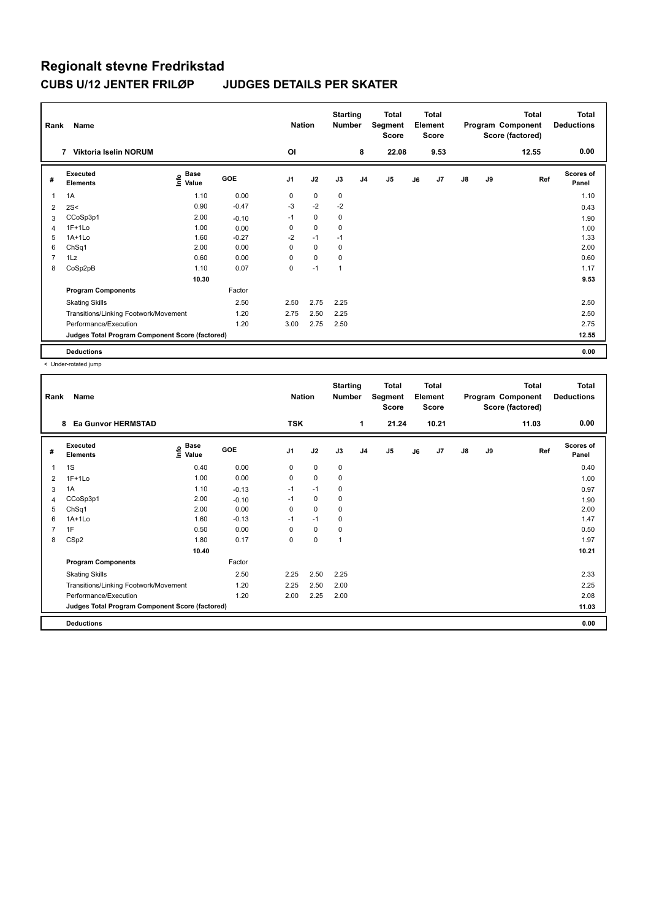| Rank | Name                                            |                            |            | <b>Nation</b>  |             | <b>Starting</b><br><b>Number</b> |                | Total<br>Segment<br><b>Score</b> |    | <b>Total</b><br>Element<br><b>Score</b> |               |    | <b>Total</b><br>Program Component<br>Score (factored) | <b>Total</b><br><b>Deductions</b> |
|------|-------------------------------------------------|----------------------------|------------|----------------|-------------|----------------------------------|----------------|----------------------------------|----|-----------------------------------------|---------------|----|-------------------------------------------------------|-----------------------------------|
|      | <b>Viktoria Iselin NORUM</b><br>7               |                            |            | <b>OI</b>      |             |                                  | 8              | 22.08                            |    | 9.53                                    |               |    | 12.55                                                 | 0.00                              |
| #    | Executed<br><b>Elements</b>                     | <b>Base</b><br>۴o<br>Value | <b>GOE</b> | J <sub>1</sub> | J2          | J3                               | J <sub>4</sub> | J5                               | J6 | J <sub>7</sub>                          | $\mathsf{J}8$ | J9 | Ref                                                   | <b>Scores of</b><br>Panel         |
| 1    | 1A                                              | 1.10                       | 0.00       | 0              | 0           | 0                                |                |                                  |    |                                         |               |    |                                                       | 1.10                              |
| 2    | 2S<                                             | 0.90                       | $-0.47$    | $-3$           | $-2$        | $-2$                             |                |                                  |    |                                         |               |    |                                                       | 0.43                              |
| 3    | CCoSp3p1                                        | 2.00                       | $-0.10$    | $-1$           | 0           | 0                                |                |                                  |    |                                         |               |    |                                                       | 1.90                              |
| 4    | $1F+1Lo$                                        | 1.00                       | 0.00       | 0              | 0           | 0                                |                |                                  |    |                                         |               |    |                                                       | 1.00                              |
| 5    | $1A+1Lo$                                        | 1.60                       | $-0.27$    | $-2$           | $-1$        | $-1$                             |                |                                  |    |                                         |               |    |                                                       | 1.33                              |
| 6    | ChSq1                                           | 2.00                       | 0.00       | $\Omega$       | $\mathbf 0$ | 0                                |                |                                  |    |                                         |               |    |                                                       | 2.00                              |
| 7    | 1Lz                                             | 0.60                       | 0.00       | 0              | $\mathbf 0$ | 0                                |                |                                  |    |                                         |               |    |                                                       | 0.60                              |
| 8    | CoSp2pB                                         | 1.10                       | 0.07       | 0              | $-1$        | 1                                |                |                                  |    |                                         |               |    |                                                       | 1.17                              |
|      |                                                 | 10.30                      |            |                |             |                                  |                |                                  |    |                                         |               |    |                                                       | 9.53                              |
|      | <b>Program Components</b>                       |                            | Factor     |                |             |                                  |                |                                  |    |                                         |               |    |                                                       |                                   |
|      | <b>Skating Skills</b>                           |                            | 2.50       | 2.50           | 2.75        | 2.25                             |                |                                  |    |                                         |               |    |                                                       | 2.50                              |
|      | Transitions/Linking Footwork/Movement           |                            | 1.20       | 2.75           | 2.50        | 2.25                             |                |                                  |    |                                         |               |    |                                                       | 2.50                              |
|      | Performance/Execution                           |                            | 1.20       | 3.00           | 2.75        | 2.50                             |                |                                  |    |                                         |               |    |                                                       | 2.75                              |
|      | Judges Total Program Component Score (factored) |                            |            |                |             |                                  |                |                                  |    |                                         |               |    |                                                       | 12.55                             |
|      | <b>Deductions</b>                               |                            |            |                |             |                                  |                |                                  |    |                                         |               |    |                                                       | 0.00                              |

< Under-rotated jump

| Rank           | Name                                            |                                  |         | <b>Nation</b>  |             | <b>Starting</b><br><b>Number</b> |                | Total<br>Segment<br><b>Score</b> |    | <b>Total</b><br>Element<br><b>Score</b> |               |    | <b>Total</b><br>Program Component<br>Score (factored) | <b>Total</b><br><b>Deductions</b> |
|----------------|-------------------------------------------------|----------------------------------|---------|----------------|-------------|----------------------------------|----------------|----------------------------------|----|-----------------------------------------|---------------|----|-------------------------------------------------------|-----------------------------------|
|                | <b>Ea Gunvor HERMSTAD</b><br>8                  |                                  |         | <b>TSK</b>     |             |                                  | $\mathbf{1}$   | 21.24                            |    | 10.21                                   |               |    | 11.03                                                 | 0.00                              |
| #              | Executed<br><b>Elements</b>                     | <b>Base</b><br>e Base<br>⊆ Value | GOE     | J <sub>1</sub> | J2          | J3                               | J <sub>4</sub> | J <sub>5</sub>                   | J6 | J7                                      | $\mathsf{J}8$ | J9 | Ref                                                   | Scores of<br>Panel                |
| 1              | 1S                                              | 0.40                             | 0.00    | 0              | $\mathbf 0$ | 0                                |                |                                  |    |                                         |               |    |                                                       | 0.40                              |
| 2              | $1F+1Lo$                                        | 1.00                             | 0.00    | 0              | $\mathbf 0$ | 0                                |                |                                  |    |                                         |               |    |                                                       | 1.00                              |
| 3              | 1A                                              | 1.10                             | $-0.13$ | $-1$           | $-1$        | 0                                |                |                                  |    |                                         |               |    |                                                       | 0.97                              |
| 4              | CCoSp3p1                                        | 2.00                             | $-0.10$ | $-1$           | 0           | 0                                |                |                                  |    |                                         |               |    |                                                       | 1.90                              |
| 5              | ChSq1                                           | 2.00                             | 0.00    | 0              | $\mathbf 0$ | 0                                |                |                                  |    |                                         |               |    |                                                       | 2.00                              |
| 6              | $1A+1Lo$                                        | 1.60                             | $-0.13$ | $-1$           | $-1$        | 0                                |                |                                  |    |                                         |               |    |                                                       | 1.47                              |
| $\overline{7}$ | 1F                                              | 0.50                             | 0.00    | 0              | $\mathbf 0$ | 0                                |                |                                  |    |                                         |               |    |                                                       | 0.50                              |
| 8              | CSp2                                            | 1.80                             | 0.17    | 0              | $\pmb{0}$   | 1                                |                |                                  |    |                                         |               |    |                                                       | 1.97                              |
|                |                                                 | 10.40                            |         |                |             |                                  |                |                                  |    |                                         |               |    |                                                       | 10.21                             |
|                | <b>Program Components</b>                       |                                  | Factor  |                |             |                                  |                |                                  |    |                                         |               |    |                                                       |                                   |
|                | <b>Skating Skills</b>                           |                                  | 2.50    | 2.25           | 2.50        | 2.25                             |                |                                  |    |                                         |               |    |                                                       | 2.33                              |
|                | Transitions/Linking Footwork/Movement           |                                  | 1.20    | 2.25           | 2.50        | 2.00                             |                |                                  |    |                                         |               |    |                                                       | 2.25                              |
|                | Performance/Execution                           |                                  | 1.20    | 2.00           | 2.25        | 2.00                             |                |                                  |    |                                         |               |    |                                                       | 2.08                              |
|                | Judges Total Program Component Score (factored) |                                  |         |                |             |                                  |                |                                  |    |                                         |               |    |                                                       | 11.03                             |
|                | <b>Deductions</b>                               |                                  |         |                |             |                                  |                |                                  |    |                                         |               |    |                                                       | 0.00                              |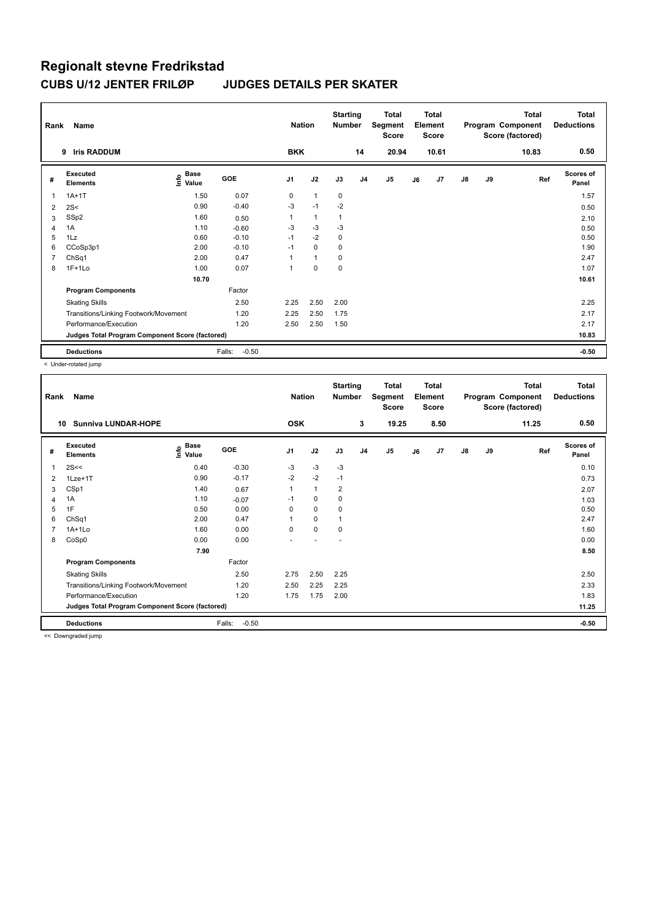| Rank           | Name                                            |                                    |                   | <b>Nation</b>  |              | <b>Starting</b><br><b>Number</b> |                | <b>Total</b><br>Segment<br><b>Score</b> |    | <b>Total</b><br>Element<br><b>Score</b> |               |    | <b>Total</b><br>Program Component<br>Score (factored) | <b>Total</b><br><b>Deductions</b> |
|----------------|-------------------------------------------------|------------------------------------|-------------------|----------------|--------------|----------------------------------|----------------|-----------------------------------------|----|-----------------------------------------|---------------|----|-------------------------------------------------------|-----------------------------------|
|                | <b>Iris RADDUM</b><br>9                         |                                    |                   | <b>BKK</b>     |              |                                  | 14             | 20.94                                   |    | 10.61                                   |               |    | 10.83                                                 | 0.50                              |
| #              | Executed<br><b>Elements</b>                     | <b>Base</b><br>$\frac{e}{E}$ Value | <b>GOE</b>        | J <sub>1</sub> | J2           | J3                               | J <sub>4</sub> | J <sub>5</sub>                          | J6 | J7                                      | $\mathsf{J}8$ | J9 | Ref                                                   | <b>Scores of</b><br>Panel         |
|                | $1A+1T$                                         | 1.50                               | 0.07              | 0              | $\mathbf{1}$ | 0                                |                |                                         |    |                                         |               |    |                                                       | 1.57                              |
| $\overline{2}$ | 2S<                                             | 0.90                               | $-0.40$           | -3             | $-1$         | $-2$                             |                |                                         |    |                                         |               |    |                                                       | 0.50                              |
| 3              | SSp2                                            | 1.60                               | 0.50              |                | $\mathbf{1}$ | 1                                |                |                                         |    |                                         |               |    |                                                       | 2.10                              |
| $\overline{4}$ | 1A                                              | 1.10                               | $-0.60$           | $-3$           | $-3$         | $-3$                             |                |                                         |    |                                         |               |    |                                                       | 0.50                              |
| 5              | 1Lz                                             | 0.60                               | $-0.10$           | $-1$           | $-2$         | 0                                |                |                                         |    |                                         |               |    |                                                       | 0.50                              |
| 6              | CCoSp3p1                                        | 2.00                               | $-0.10$           | $-1$           | $\mathbf 0$  | 0                                |                |                                         |    |                                         |               |    |                                                       | 1.90                              |
| 7              | ChSq1                                           | 2.00                               | 0.47              |                | $\mathbf{1}$ | $\mathbf 0$                      |                |                                         |    |                                         |               |    |                                                       | 2.47                              |
| 8              | $1F+1Lo$                                        | 1.00                               | 0.07              |                | $\mathbf 0$  | $\mathbf 0$                      |                |                                         |    |                                         |               |    |                                                       | 1.07                              |
|                |                                                 | 10.70                              |                   |                |              |                                  |                |                                         |    |                                         |               |    |                                                       | 10.61                             |
|                | <b>Program Components</b>                       |                                    | Factor            |                |              |                                  |                |                                         |    |                                         |               |    |                                                       |                                   |
|                | <b>Skating Skills</b>                           |                                    | 2.50              | 2.25           | 2.50         | 2.00                             |                |                                         |    |                                         |               |    |                                                       | 2.25                              |
|                | Transitions/Linking Footwork/Movement           |                                    | 1.20              | 2.25           | 2.50         | 1.75                             |                |                                         |    |                                         |               |    |                                                       | 2.17                              |
|                | Performance/Execution                           |                                    | 1.20              | 2.50           | 2.50         | 1.50                             |                |                                         |    |                                         |               |    |                                                       | 2.17                              |
|                | Judges Total Program Component Score (factored) |                                    |                   |                |              |                                  |                |                                         |    |                                         |               |    |                                                       | 10.83                             |
|                | <b>Deductions</b>                               |                                    | $-0.50$<br>Falls: |                |              |                                  |                |                                         |    |                                         |               |    |                                                       | $-0.50$                           |

< Under-rotated jump

| Rank | Name<br><b>Sunniva LUNDAR-HOPE</b>              |                                  |                   | <b>Nation</b> |              | <b>Starting</b><br><b>Number</b> | 3              | <b>Total</b><br>Segment<br><b>Score</b> |    | <b>Total</b><br>Element<br><b>Score</b> |               |    | <b>Total</b><br>Program Component<br>Score (factored) | Total<br><b>Deductions</b><br>0.50 |
|------|-------------------------------------------------|----------------------------------|-------------------|---------------|--------------|----------------------------------|----------------|-----------------------------------------|----|-----------------------------------------|---------------|----|-------------------------------------------------------|------------------------------------|
| 10   |                                                 |                                  |                   | <b>OSK</b>    |              |                                  |                | 19.25                                   |    | 8.50                                    |               |    | 11.25                                                 |                                    |
| #    | Executed<br><b>Elements</b>                     | <b>Base</b><br>e Base<br>⊆ Value | GOE               | J1            | J2           | J3                               | J <sub>4</sub> | J5                                      | J6 | J7                                      | $\mathsf{J}8$ | J9 | Ref                                                   | Scores of<br>Panel                 |
| 1    | 2S<<                                            | 0.40                             | $-0.30$           | $-3$          | $-3$         | $-3$                             |                |                                         |    |                                         |               |    |                                                       | 0.10                               |
| 2    | 1Lze+1T                                         | 0.90                             | $-0.17$           | $-2$          | $-2$         | $-1$                             |                |                                         |    |                                         |               |    |                                                       | 0.73                               |
| 3    | CSp1                                            | 1.40                             | 0.67              | 1             | $\mathbf{1}$ | $\overline{2}$                   |                |                                         |    |                                         |               |    |                                                       | 2.07                               |
| 4    | 1A                                              | 1.10                             | $-0.07$           | $-1$          | $\mathbf 0$  | 0                                |                |                                         |    |                                         |               |    |                                                       | 1.03                               |
| 5    | 1F                                              | 0.50                             | 0.00              | 0             | $\mathbf 0$  | $\mathbf 0$                      |                |                                         |    |                                         |               |    |                                                       | 0.50                               |
| 6    | ChSq1                                           | 2.00                             | 0.47              | 1             | $\mathbf 0$  | 1                                |                |                                         |    |                                         |               |    |                                                       | 2.47                               |
| 7    | $1A+1Lo$                                        | 1.60                             | 0.00              | $\Omega$      | $\mathbf 0$  | 0                                |                |                                         |    |                                         |               |    |                                                       | 1.60                               |
| 8    | CoSp0                                           | 0.00                             | 0.00              |               |              |                                  |                |                                         |    |                                         |               |    |                                                       | 0.00                               |
|      |                                                 | 7.90                             |                   |               |              |                                  |                |                                         |    |                                         |               |    |                                                       | 8.50                               |
|      | <b>Program Components</b>                       |                                  | Factor            |               |              |                                  |                |                                         |    |                                         |               |    |                                                       |                                    |
|      | <b>Skating Skills</b>                           |                                  | 2.50              | 2.75          | 2.50         | 2.25                             |                |                                         |    |                                         |               |    |                                                       | 2.50                               |
|      | Transitions/Linking Footwork/Movement           |                                  | 1.20              | 2.50          | 2.25         | 2.25                             |                |                                         |    |                                         |               |    |                                                       | 2.33                               |
|      | Performance/Execution                           |                                  | 1.20              | 1.75          | 1.75         | 2.00                             |                |                                         |    |                                         |               |    |                                                       | 1.83                               |
|      | Judges Total Program Component Score (factored) |                                  |                   |               |              |                                  |                |                                         |    |                                         |               |    |                                                       | 11.25                              |
|      | <b>Deductions</b>                               |                                  | Falls:<br>$-0.50$ |               |              |                                  |                |                                         |    |                                         |               |    |                                                       | $-0.50$                            |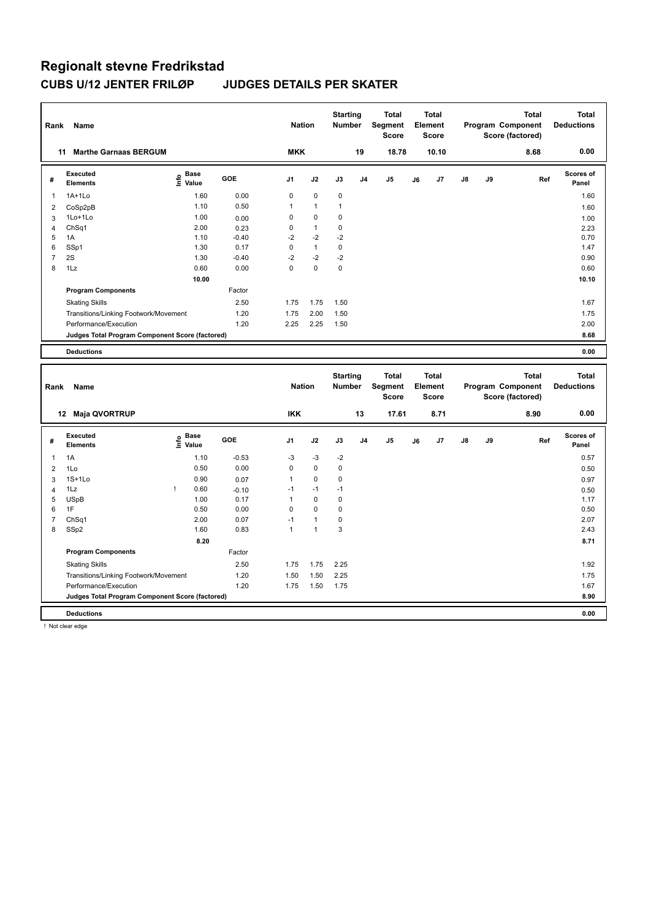| Rank           | Name                                            |                       |            | <b>Nation</b>  |                | <b>Starting</b><br><b>Number</b> |                | <b>Total</b><br>Segment<br><b>Score</b> |    | <b>Total</b><br>Element<br><b>Score</b> |    |    | <b>Total</b><br>Program Component<br>Score (factored) | <b>Total</b><br><b>Deductions</b> |
|----------------|-------------------------------------------------|-----------------------|------------|----------------|----------------|----------------------------------|----------------|-----------------------------------------|----|-----------------------------------------|----|----|-------------------------------------------------------|-----------------------------------|
|                | 11 Marthe Garnaas BERGUM                        |                       |            | <b>MKK</b>     |                |                                  | 19             | 18.78                                   |    | 10.10                                   |    |    | 8.68                                                  | 0.00                              |
| #              | Executed<br><b>Elements</b>                     | Base<br>lnfo<br>Value | <b>GOE</b> | J <sub>1</sub> | J2             | J3                               | J <sub>4</sub> | J5                                      | J6 | J7                                      | J8 | J9 | Ref                                                   | Scores of<br>Panel                |
| 1              | $1A+1L0$                                        | 1.60                  | 0.00       | 0              | $\mathbf 0$    | $\pmb{0}$                        |                |                                         |    |                                         |    |    |                                                       | 1.60                              |
| 2              | CoSp2pB                                         | 1.10                  | 0.50       | 1              | $\overline{1}$ | $\mathbf{1}$                     |                |                                         |    |                                         |    |    |                                                       | 1.60                              |
| 3              | 1Lo+1Lo                                         | 1.00                  | 0.00       | 0              | $\mathbf 0$    | 0                                |                |                                         |    |                                         |    |    |                                                       | 1.00                              |
| 4              | ChSq1                                           | 2.00                  | 0.23       | 0              | $\mathbf{1}$   | $\mathbf 0$                      |                |                                         |    |                                         |    |    |                                                       | 2.23                              |
| 5              | 1A                                              | 1.10                  | $-0.40$    | $-2$           | $-2$           | $-2$                             |                |                                         |    |                                         |    |    |                                                       | 0.70                              |
| 6              | SSp1                                            | 1.30                  | 0.17       | 0              | $\mathbf{1}$   | $\pmb{0}$                        |                |                                         |    |                                         |    |    |                                                       | 1.47                              |
| $\overline{7}$ | 2S                                              | 1.30                  | $-0.40$    | $-2$           | $-2$           | $-2$                             |                |                                         |    |                                         |    |    |                                                       | 0.90                              |
| 8              | 1Lz                                             | 0.60                  | 0.00       | 0              | $\pmb{0}$      | $\pmb{0}$                        |                |                                         |    |                                         |    |    |                                                       | 0.60                              |
|                |                                                 | 10.00                 |            |                |                |                                  |                |                                         |    |                                         |    |    |                                                       | 10.10                             |
|                | <b>Program Components</b>                       |                       | Factor     |                |                |                                  |                |                                         |    |                                         |    |    |                                                       |                                   |
|                | <b>Skating Skills</b>                           |                       | 2.50       | 1.75           | 1.75           | 1.50                             |                |                                         |    |                                         |    |    |                                                       | 1.67                              |
|                | Transitions/Linking Footwork/Movement           |                       | 1.20       | 1.75           | 2.00           | 1.50                             |                |                                         |    |                                         |    |    |                                                       | 1.75                              |
|                | Performance/Execution                           |                       | 1.20       | 2.25           | 2.25           | 1.50                             |                |                                         |    |                                         |    |    |                                                       | 2.00                              |
|                | Judges Total Program Component Score (factored) |                       |            |                |                |                                  |                |                                         |    |                                         |    |    |                                                       | 8.68                              |
|                | <b>Deductions</b>                               |                       |            |                |                |                                  |                |                                         |    |                                         |    |    |                                                       | 0.00                              |
|                |                                                 |                       |            |                |                |                                  |                |                                         |    |                                         |    |    |                                                       |                                   |
|                |                                                 |                       |            |                |                |                                  |                |                                         |    |                                         |    |    |                                                       |                                   |
| Rank           | Name                                            |                       |            | <b>Nation</b>  |                | <b>Starting</b><br><b>Number</b> |                | <b>Total</b><br>Segment<br><b>Score</b> |    | <b>Total</b><br>Element<br><b>Score</b> |    |    | <b>Total</b><br>Program Component<br>Score (factored) | <b>Total</b><br><b>Deductions</b> |
|                | 12 Maja QVORTRUP                                |                       |            | <b>IKK</b>     |                |                                  | 13             | 17.61                                   |    | 8.71                                    |    |    | 8.90                                                  | 0.00                              |
| #              | Executed                                        | <b>Base</b>           | <b>GOE</b> | J1             | J2             | J3                               | J <sub>4</sub> | J5                                      | J6 | J7                                      | J8 | J9 | Ref                                                   | <b>Scores of</b>                  |
|                | <b>Elements</b>                                 | ۴o<br>Value           |            |                |                |                                  |                |                                         |    |                                         |    |    |                                                       | Panel                             |
| 1              | 1A                                              | 1.10                  | $-0.53$    | $-3$           | $-3$           | $-2$                             |                |                                         |    |                                         |    |    |                                                       | 0.57                              |
| $\overline{2}$ | 1Lo                                             | 0.50                  | 0.00       | 0              | $\mathbf 0$    | $\pmb{0}$                        |                |                                         |    |                                         |    |    |                                                       | 0.50                              |
| 3              | $1S+1L0$                                        | 0.90                  | 0.07       | $\overline{1}$ | $\pmb{0}$      | 0                                |                |                                         |    |                                         |    |    |                                                       | 0.97                              |
| 4              | 1Lz                                             | Ţ<br>0.60             | $-0.10$    | $-1$           | $-1$           | $-1$                             |                |                                         |    |                                         |    |    |                                                       | 0.50                              |
| 5              | <b>USpB</b>                                     | 1.00                  | 0.17       | $\mathbf{1}$   | $\pmb{0}$      | $\pmb{0}$                        |                |                                         |    |                                         |    |    |                                                       | 1.17                              |
| 6              | 1F                                              | 0.50                  | 0.00       | 0              | $\pmb{0}$      | $\pmb{0}$                        |                |                                         |    |                                         |    |    |                                                       | 0.50                              |
| $\overline{7}$ | Ch <sub>Sq1</sub>                               | 2.00                  | 0.07       | $-1$           | $\overline{1}$ | 0                                |                |                                         |    |                                         |    |    |                                                       | 2.07                              |
| 8              | SSp2                                            | 1.60                  | 0.83       | 1              | $\overline{1}$ | 3                                |                |                                         |    |                                         |    |    |                                                       | 2.43                              |
|                |                                                 | 8.20                  |            |                |                |                                  |                |                                         |    |                                         |    |    |                                                       | 8.71                              |
|                | <b>Program Components</b>                       |                       | Factor     |                |                |                                  |                |                                         |    |                                         |    |    |                                                       |                                   |
|                | <b>Skating Skills</b>                           |                       | 2.50       | 1.75           | 1.75           | 2.25                             |                |                                         |    |                                         |    |    |                                                       | 1.92                              |
|                | Transitions/Linking Footwork/Movement           |                       | 1.20       | 1.50           | 1.50           | 2.25                             |                |                                         |    |                                         |    |    |                                                       | 1.75                              |
|                | Performance/Execution                           |                       | 1.20       | 1.75           | 1.50           | 1.75                             |                |                                         |    |                                         |    |    |                                                       | 1.67                              |
|                | Judges Total Program Component Score (factored) |                       |            |                |                |                                  |                |                                         |    |                                         |    |    |                                                       | 8.90                              |

! Not clear edge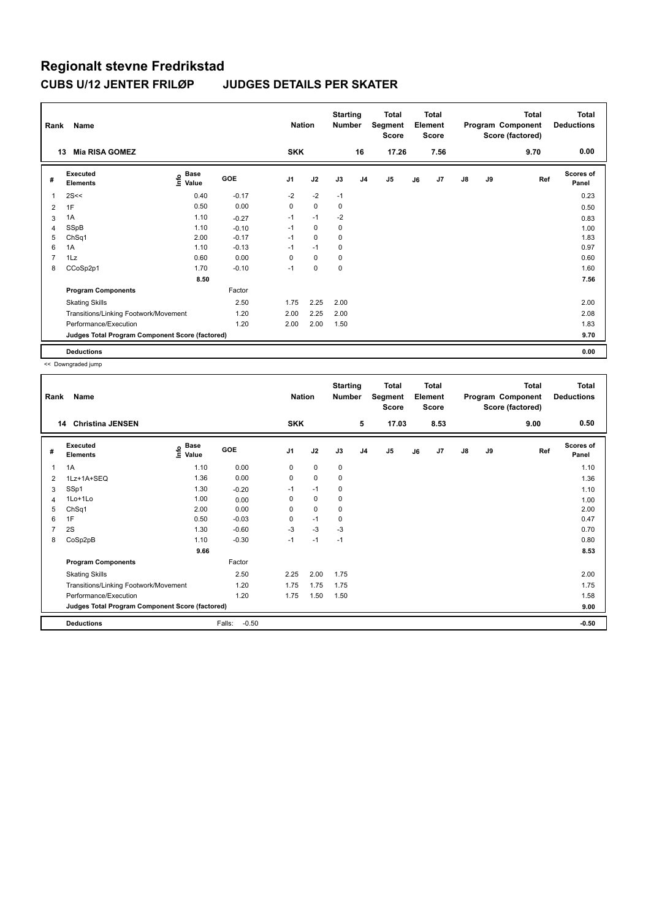| Rank | Name                                            |                              |            | <b>Nation</b>  |             | <b>Starting</b><br><b>Number</b> |                | <b>Total</b><br>Segment<br>Score |    | <b>Total</b><br>Element<br>Score |               |    | <b>Total</b><br>Program Component<br>Score (factored) | <b>Total</b><br><b>Deductions</b> |
|------|-------------------------------------------------|------------------------------|------------|----------------|-------------|----------------------------------|----------------|----------------------------------|----|----------------------------------|---------------|----|-------------------------------------------------------|-----------------------------------|
|      | <b>Mia RISA GOMEZ</b><br>13                     |                              |            | <b>SKK</b>     |             |                                  | 16             | 17.26                            |    | 7.56                             |               |    | 9.70                                                  | 0.00                              |
| #    | Executed<br><b>Elements</b>                     | <b>Base</b><br>Info<br>Value | <b>GOE</b> | J <sub>1</sub> | J2          | J3                               | J <sub>4</sub> | J5                               | J6 | J <sub>7</sub>                   | $\mathsf{J}8$ | J9 | Ref                                                   | <b>Scores of</b><br>Panel         |
| 1    | 2S<<                                            | 0.40                         | $-0.17$    | $-2$           | $-2$        | $-1$                             |                |                                  |    |                                  |               |    |                                                       | 0.23                              |
| 2    | 1F                                              | 0.50                         | 0.00       | $\mathbf 0$    | $\mathbf 0$ | 0                                |                |                                  |    |                                  |               |    |                                                       | 0.50                              |
| 3    | 1A                                              | 1.10                         | $-0.27$    | $-1$           | $-1$        | $-2$                             |                |                                  |    |                                  |               |    |                                                       | 0.83                              |
| 4    | SSpB                                            | 1.10                         | $-0.10$    | $-1$           | 0           | 0                                |                |                                  |    |                                  |               |    |                                                       | 1.00                              |
| 5    | ChSq1                                           | 2.00                         | $-0.17$    | $-1$           | $\mathbf 0$ | 0                                |                |                                  |    |                                  |               |    |                                                       | 1.83                              |
| 6    | 1A                                              | 1.10                         | $-0.13$    | $-1$           | $-1$        | 0                                |                |                                  |    |                                  |               |    |                                                       | 0.97                              |
| 7    | 1Lz                                             | 0.60                         | 0.00       | $\Omega$       | $\mathbf 0$ | 0                                |                |                                  |    |                                  |               |    |                                                       | 0.60                              |
| 8    | CCoSp2p1                                        | 1.70                         | $-0.10$    | $-1$           | $\Omega$    | $\Omega$                         |                |                                  |    |                                  |               |    |                                                       | 1.60                              |
|      |                                                 | 8.50                         |            |                |             |                                  |                |                                  |    |                                  |               |    |                                                       | 7.56                              |
|      | <b>Program Components</b>                       |                              | Factor     |                |             |                                  |                |                                  |    |                                  |               |    |                                                       |                                   |
|      | <b>Skating Skills</b>                           |                              | 2.50       | 1.75           | 2.25        | 2.00                             |                |                                  |    |                                  |               |    |                                                       | 2.00                              |
|      | Transitions/Linking Footwork/Movement           |                              | 1.20       | 2.00           | 2.25        | 2.00                             |                |                                  |    |                                  |               |    |                                                       | 2.08                              |
|      | Performance/Execution                           |                              | 1.20       | 2.00           | 2.00        | 1.50                             |                |                                  |    |                                  |               |    |                                                       | 1.83                              |
|      | Judges Total Program Component Score (factored) |                              |            |                |             |                                  |                |                                  |    |                                  |               |    |                                                       | 9.70                              |
|      | <b>Deductions</b>                               |                              |            |                |             |                                  |                |                                  |    |                                  |               |    |                                                       | 0.00                              |

| Rank | Name                                            |                                           |                   | <b>Nation</b>  |             | <b>Starting</b><br>Number |                | Total<br>Segment<br><b>Score</b> |    | <b>Total</b><br>Element<br><b>Score</b> |               |    | <b>Total</b><br>Program Component<br>Score (factored) | <b>Total</b><br><b>Deductions</b> |
|------|-------------------------------------------------|-------------------------------------------|-------------------|----------------|-------------|---------------------------|----------------|----------------------------------|----|-----------------------------------------|---------------|----|-------------------------------------------------------|-----------------------------------|
| 14   | <b>Christina JENSEN</b>                         |                                           |                   | <b>SKK</b>     |             |                           | 5              | 17.03                            |    | 8.53                                    |               |    | 9.00                                                  | 0.50                              |
| #    | Executed<br><b>Elements</b>                     | $\frac{e}{E}$ Base<br>$\frac{E}{E}$ Value | GOE               | J <sub>1</sub> | J2          | J3                        | J <sub>4</sub> | J <sub>5</sub>                   | J6 | J7                                      | $\mathsf{J}8$ | J9 | Ref                                                   | <b>Scores of</b><br>Panel         |
| 1    | 1A                                              | 1.10                                      | 0.00              | 0              | $\mathbf 0$ | 0                         |                |                                  |    |                                         |               |    |                                                       | 1.10                              |
| 2    | 1Lz+1A+SEQ                                      | 1.36                                      | 0.00              | 0              | 0           | 0                         |                |                                  |    |                                         |               |    |                                                       | 1.36                              |
| 3    | SSp1                                            | 1.30                                      | $-0.20$           | $-1$           | $-1$        | 0                         |                |                                  |    |                                         |               |    |                                                       | 1.10                              |
| 4    | $1$ Lo $+1$ Lo                                  | 1.00                                      | 0.00              | 0              | 0           | 0                         |                |                                  |    |                                         |               |    |                                                       | 1.00                              |
| 5    | ChSq1                                           | 2.00                                      | 0.00              | 0              | $\mathbf 0$ | 0                         |                |                                  |    |                                         |               |    |                                                       | 2.00                              |
| 6    | 1F                                              | 0.50                                      | $-0.03$           | 0              | $-1$        | 0                         |                |                                  |    |                                         |               |    |                                                       | 0.47                              |
| 7    | 2S                                              | 1.30                                      | $-0.60$           | $-3$           | $-3$        | -3                        |                |                                  |    |                                         |               |    |                                                       | 0.70                              |
| 8    | CoSp2pB                                         | 1.10                                      | $-0.30$           | $-1$           | $-1$        | $-1$                      |                |                                  |    |                                         |               |    |                                                       | 0.80                              |
|      |                                                 | 9.66                                      |                   |                |             |                           |                |                                  |    |                                         |               |    |                                                       | 8.53                              |
|      | <b>Program Components</b>                       |                                           | Factor            |                |             |                           |                |                                  |    |                                         |               |    |                                                       |                                   |
|      | <b>Skating Skills</b>                           |                                           | 2.50              | 2.25           | 2.00        | 1.75                      |                |                                  |    |                                         |               |    |                                                       | 2.00                              |
|      | Transitions/Linking Footwork/Movement           |                                           | 1.20              | 1.75           | 1.75        | 1.75                      |                |                                  |    |                                         |               |    |                                                       | 1.75                              |
|      | Performance/Execution                           |                                           | 1.20              | 1.75           | 1.50        | 1.50                      |                |                                  |    |                                         |               |    |                                                       | 1.58                              |
|      | Judges Total Program Component Score (factored) |                                           |                   |                |             |                           |                |                                  |    |                                         |               |    |                                                       | 9.00                              |
|      | <b>Deductions</b>                               |                                           | Falls:<br>$-0.50$ |                |             |                           |                |                                  |    |                                         |               |    |                                                       | $-0.50$                           |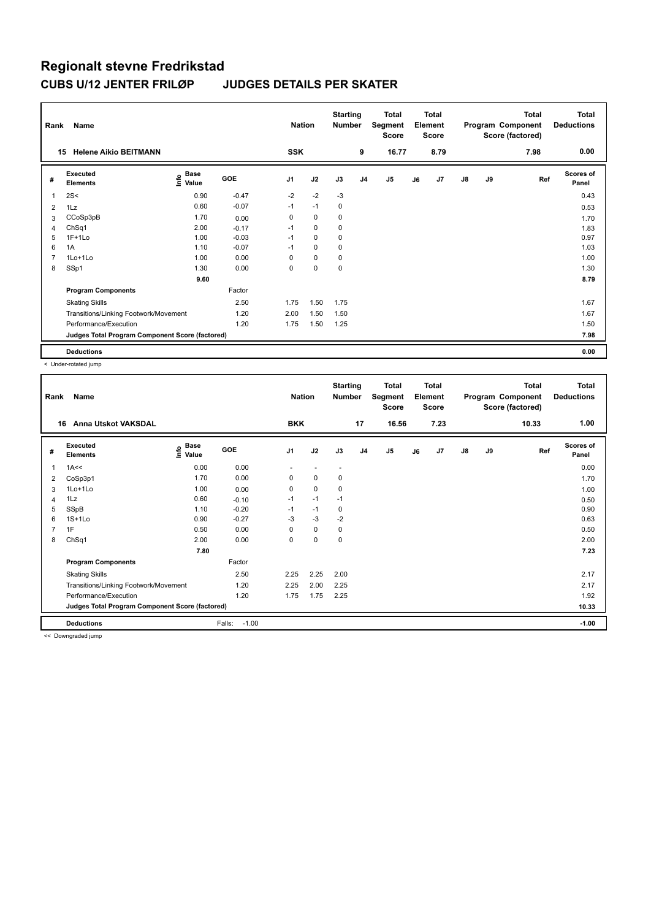| Rank           | Name                                            |                     |         | <b>Nation</b>  |             | <b>Starting</b><br><b>Number</b> |                | <b>Total</b><br>Segment<br>Score |    | <b>Total</b><br>Element<br><b>Score</b> |               |    | <b>Total</b><br>Program Component<br>Score (factored) | <b>Total</b><br><b>Deductions</b> |
|----------------|-------------------------------------------------|---------------------|---------|----------------|-------------|----------------------------------|----------------|----------------------------------|----|-----------------------------------------|---------------|----|-------------------------------------------------------|-----------------------------------|
|                | <b>Helene Aikio BEITMANN</b><br>15              |                     |         | <b>SSK</b>     |             |                                  | 9              | 16.77                            |    | 8.79                                    |               |    | 7.98                                                  | 0.00                              |
| #              | Executed<br><b>Elements</b>                     | Base<br>۴o<br>Value | GOE     | J <sub>1</sub> | J2          | J3                               | J <sub>4</sub> | J5                               | J6 | J7                                      | $\mathsf{J}8$ | J9 | Ref                                                   | <b>Scores of</b><br>Panel         |
|                | 2S<                                             | 0.90                | $-0.47$ | $-2$           | $-2$        | $-3$                             |                |                                  |    |                                         |               |    |                                                       | 0.43                              |
| 2              | 1Lz                                             | 0.60                | $-0.07$ | $-1$           | $-1$        | 0                                |                |                                  |    |                                         |               |    |                                                       | 0.53                              |
| 3              | CCoSp3pB                                        | 1.70                | 0.00    | 0              | 0           | 0                                |                |                                  |    |                                         |               |    |                                                       | 1.70                              |
| 4              | ChSq1                                           | 2.00                | $-0.17$ | $-1$           | 0           | 0                                |                |                                  |    |                                         |               |    |                                                       | 1.83                              |
| 5              | $1F+1L0$                                        | 1.00                | $-0.03$ | $-1$           | $\mathbf 0$ | 0                                |                |                                  |    |                                         |               |    |                                                       | 0.97                              |
| 6              | 1A                                              | 1.10                | $-0.07$ | $-1$           | $\mathbf 0$ | 0                                |                |                                  |    |                                         |               |    |                                                       | 1.03                              |
| $\overline{7}$ | 1Lo+1Lo                                         | 1.00                | 0.00    | 0              | $\mathbf 0$ | 0                                |                |                                  |    |                                         |               |    |                                                       | 1.00                              |
| 8              | SSp1                                            | 1.30                | 0.00    | 0              | $\mathbf 0$ | $\mathbf 0$                      |                |                                  |    |                                         |               |    |                                                       | 1.30                              |
|                |                                                 | 9.60                |         |                |             |                                  |                |                                  |    |                                         |               |    |                                                       | 8.79                              |
|                | <b>Program Components</b>                       |                     | Factor  |                |             |                                  |                |                                  |    |                                         |               |    |                                                       |                                   |
|                | <b>Skating Skills</b>                           |                     | 2.50    | 1.75           | 1.50        | 1.75                             |                |                                  |    |                                         |               |    |                                                       | 1.67                              |
|                | Transitions/Linking Footwork/Movement           |                     | 1.20    | 2.00           | 1.50        | 1.50                             |                |                                  |    |                                         |               |    |                                                       | 1.67                              |
|                | Performance/Execution                           |                     | 1.20    | 1.75           | 1.50        | 1.25                             |                |                                  |    |                                         |               |    |                                                       | 1.50                              |
|                | Judges Total Program Component Score (factored) |                     |         |                |             |                                  |                |                                  |    |                                         |               |    |                                                       | 7.98                              |
|                | <b>Deductions</b>                               |                     |         |                |             |                                  |                |                                  |    |                                         |               |    |                                                       | 0.00                              |

< Under-rotated jump

| Rank           | Name                                            |                                  |                   | <b>Nation</b>  |                          | <b>Starting</b><br><b>Number</b> |                | <b>Total</b><br>Segment<br><b>Score</b> |    | <b>Total</b><br>Element<br><b>Score</b> |               |    | <b>Total</b><br>Program Component<br>Score (factored) | Total<br><b>Deductions</b> |
|----------------|-------------------------------------------------|----------------------------------|-------------------|----------------|--------------------------|----------------------------------|----------------|-----------------------------------------|----|-----------------------------------------|---------------|----|-------------------------------------------------------|----------------------------|
| 16             | <b>Anna Utskot VAKSDAL</b>                      |                                  |                   | <b>BKK</b>     |                          |                                  | 17             | 16.56                                   |    | 7.23                                    |               |    | 10.33                                                 | 1.00                       |
| #              | Executed<br><b>Elements</b>                     | <b>Base</b><br>e Base<br>⊆ Value | GOE               | J <sub>1</sub> | J2                       | J3                               | J <sub>4</sub> | J <sub>5</sub>                          | J6 | J7                                      | $\mathsf{J}8$ | J9 | Ref                                                   | Scores of<br>Panel         |
| 1              | 1A<<                                            | 0.00                             | 0.00              | ٠              | $\overline{\phantom{a}}$ | $\overline{\phantom{a}}$         |                |                                         |    |                                         |               |    |                                                       | 0.00                       |
| 2              | CoSp3p1                                         | 1.70                             | 0.00              | 0              | 0                        | 0                                |                |                                         |    |                                         |               |    |                                                       | 1.70                       |
| 3              | 1Lo+1Lo                                         | 1.00                             | 0.00              | 0              | 0                        | 0                                |                |                                         |    |                                         |               |    |                                                       | 1.00                       |
| 4              | 1Lz                                             | 0.60                             | $-0.10$           | $-1$           | $-1$                     | $-1$                             |                |                                         |    |                                         |               |    |                                                       | 0.50                       |
| 5              | SSpB                                            | 1.10                             | $-0.20$           | $-1$           | $-1$                     | 0                                |                |                                         |    |                                         |               |    |                                                       | 0.90                       |
| 6              | $1S+1L0$                                        | 0.90                             | $-0.27$           | $-3$           | $-3$                     | $-2$                             |                |                                         |    |                                         |               |    |                                                       | 0.63                       |
| $\overline{7}$ | 1F                                              | 0.50                             | 0.00              | 0              | 0                        | 0                                |                |                                         |    |                                         |               |    |                                                       | 0.50                       |
| 8              | ChSq1                                           | 2.00                             | 0.00              | 0              | $\mathbf 0$              | 0                                |                |                                         |    |                                         |               |    |                                                       | 2.00                       |
|                |                                                 | 7.80                             |                   |                |                          |                                  |                |                                         |    |                                         |               |    |                                                       | 7.23                       |
|                | <b>Program Components</b>                       |                                  | Factor            |                |                          |                                  |                |                                         |    |                                         |               |    |                                                       |                            |
|                | <b>Skating Skills</b>                           |                                  | 2.50              | 2.25           | 2.25                     | 2.00                             |                |                                         |    |                                         |               |    |                                                       | 2.17                       |
|                | Transitions/Linking Footwork/Movement           |                                  | 1.20              | 2.25           | 2.00                     | 2.25                             |                |                                         |    |                                         |               |    |                                                       | 2.17                       |
|                | Performance/Execution                           |                                  | 1.20              | 1.75           | 1.75                     | 2.25                             |                |                                         |    |                                         |               |    |                                                       | 1.92                       |
|                | Judges Total Program Component Score (factored) |                                  |                   |                |                          |                                  |                |                                         |    |                                         |               |    |                                                       | 10.33                      |
|                | <b>Deductions</b>                               |                                  | Falls:<br>$-1.00$ |                |                          |                                  |                |                                         |    |                                         |               |    |                                                       | $-1.00$                    |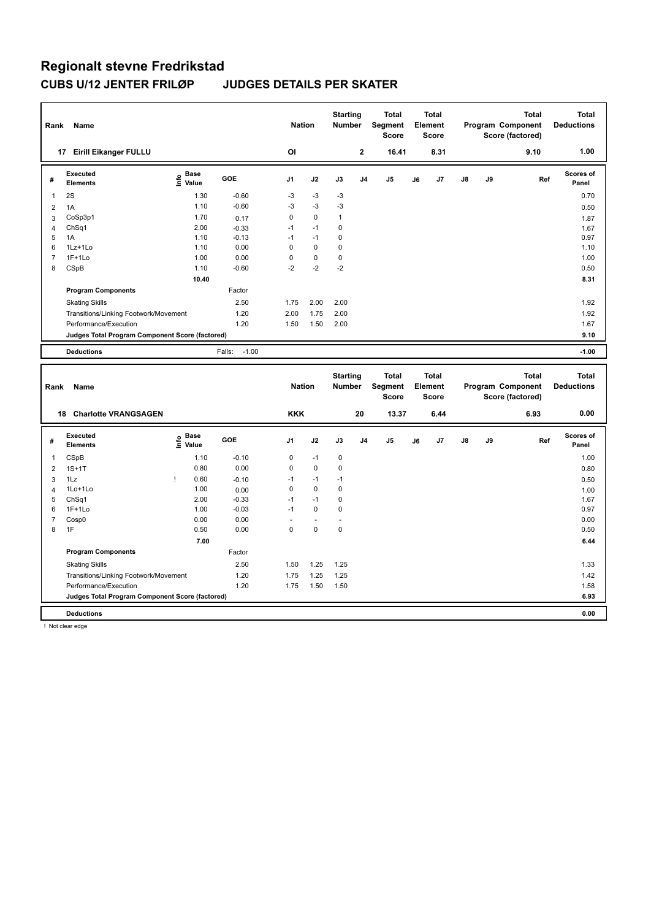| Rank           | Name                                            |                              |                   | <b>Nation</b>  |             | <b>Starting</b><br><b>Number</b> |                | <b>Total</b><br>Segment<br><b>Score</b> |    | <b>Total</b><br>Element<br><b>Score</b> |    |    | <b>Total</b><br>Program Component<br>Score (factored) | <b>Total</b><br><b>Deductions</b> |
|----------------|-------------------------------------------------|------------------------------|-------------------|----------------|-------------|----------------------------------|----------------|-----------------------------------------|----|-----------------------------------------|----|----|-------------------------------------------------------|-----------------------------------|
|                | 17 Eirill Eikanger FULLU                        |                              |                   | OI             |             |                                  | $\mathbf{2}$   | 16.41                                   |    | 8.31                                    |    |    | 9.10                                                  | 1.00                              |
| #              | Executed<br><b>Elements</b>                     | Base<br>lnfo<br>Value        | GOE               | J1             | J2          | J3                               | J <sub>4</sub> | J5                                      | J6 | J7                                      | J8 | J9 | Ref                                                   | Scores of<br>Panel                |
| 1              | 2S                                              | 1.30                         | $-0.60$           | $-3$           | $-3$        | $-3$                             |                |                                         |    |                                         |    |    |                                                       | 0.70                              |
| $\overline{2}$ | 1A                                              | 1.10                         | $-0.60$           | $-3$           | $-3$        | $-3$                             |                |                                         |    |                                         |    |    |                                                       | 0.50                              |
| 3              | CoSp3p1                                         | 1.70                         | 0.17              | 0              | $\mathbf 0$ | $\mathbf{1}$                     |                |                                         |    |                                         |    |    |                                                       | 1.87                              |
| 4              | Ch <sub>Sq1</sub>                               | 2.00                         | $-0.33$           | $-1$           | $-1$        | $\mathbf 0$                      |                |                                         |    |                                         |    |    |                                                       | 1.67                              |
| 5              | 1A                                              | 1.10                         | $-0.13$           | $-1$           | $-1$        | 0                                |                |                                         |    |                                         |    |    |                                                       | 0.97                              |
| 6              | 1Lz+1Lo                                         | 1.10                         | 0.00              | $\mathbf 0$    | $\pmb{0}$   | $\pmb{0}$                        |                |                                         |    |                                         |    |    |                                                       | 1.10                              |
| $\overline{7}$ | $1F+1Lo$                                        | 1.00                         | 0.00              | 0              | $\pmb{0}$   | $\pmb{0}$                        |                |                                         |    |                                         |    |    |                                                       | 1.00                              |
| 8              | CSpB                                            | 1.10                         | $-0.60$           | $-2$           | $-2$        | $-2$                             |                |                                         |    |                                         |    |    |                                                       | 0.50                              |
|                |                                                 | 10.40                        |                   |                |             |                                  |                |                                         |    |                                         |    |    |                                                       | 8.31                              |
|                | <b>Program Components</b>                       |                              | Factor            |                |             |                                  |                |                                         |    |                                         |    |    |                                                       |                                   |
|                | <b>Skating Skills</b>                           |                              | 2.50              | 1.75           | 2.00        | 2.00                             |                |                                         |    |                                         |    |    |                                                       | 1.92                              |
|                | Transitions/Linking Footwork/Movement           |                              | 1.20              | 2.00           | 1.75        | 2.00                             |                |                                         |    |                                         |    |    |                                                       | 1.92                              |
|                | Performance/Execution                           |                              | 1.20              | 1.50           | 1.50        | 2.00                             |                |                                         |    |                                         |    |    |                                                       | 1.67                              |
|                | Judges Total Program Component Score (factored) |                              |                   |                |             |                                  |                |                                         |    |                                         |    |    |                                                       | 9.10                              |
|                | <b>Deductions</b>                               |                              | $-1.00$<br>Falls: |                |             |                                  |                |                                         |    |                                         |    |    |                                                       | $-1.00$                           |
|                |                                                 |                              |                   |                |             |                                  |                |                                         |    |                                         |    |    |                                                       |                                   |
|                |                                                 |                              |                   |                |             |                                  |                |                                         |    |                                         |    |    |                                                       |                                   |
| Rank           | <b>Name</b>                                     |                              |                   | <b>Nation</b>  |             | <b>Starting</b><br><b>Number</b> |                | <b>Total</b><br>Segment<br><b>Score</b> |    | <b>Total</b><br>Element<br><b>Score</b> |    |    | <b>Total</b><br>Program Component<br>Score (factored) | <b>Total</b><br><b>Deductions</b> |
|                | 18 Charlotte VRANGSAGEN                         |                              |                   | <b>KKK</b>     |             |                                  | 20             | 13.37                                   |    | 6.44                                    |    |    | 6.93                                                  | 0.00                              |
| #              | Executed<br><b>Elements</b>                     | <b>Base</b><br>lnfo<br>Value | <b>GOE</b>        | J <sub>1</sub> | J2          | J3                               | J <sub>4</sub> | J <sub>5</sub>                          | J6 | J7                                      | J8 | J9 | Ref                                                   | Scores of<br>Panel                |
| 1              | CSpB                                            | 1.10                         | $-0.10$           | 0              | $-1$        | $\pmb{0}$                        |                |                                         |    |                                         |    |    |                                                       | 1.00                              |
| $\overline{2}$ | $1S+1T$                                         | 0.80                         | 0.00              | 0              | $\mathbf 0$ | $\pmb{0}$                        |                |                                         |    |                                         |    |    |                                                       | 0.80                              |
| 3              | 1Lz                                             | 0.60<br>ı                    | $-0.10$           | $-1$           | $-1$        | $-1$                             |                |                                         |    |                                         |    |    |                                                       | 0.50                              |
| 4              | 1Lo+1Lo                                         | 1.00                         | 0.00              | 0              | $\mathbf 0$ | $\mathbf 0$                      |                |                                         |    |                                         |    |    |                                                       | 1.00                              |
| 5              | ChSq1                                           | 2.00                         | $-0.33$           | $-1$           | $-1$        | $\pmb{0}$                        |                |                                         |    |                                         |    |    |                                                       | 1.67                              |
| 6              | $1F+1Lo$                                        | 1.00                         | $-0.03$           | $-1$           | $\mathbf 0$ | $\mathbf 0$                      |                |                                         |    |                                         |    |    |                                                       | 0.97                              |
| $\overline{7}$ | Cosp0                                           | 0.00                         | 0.00              | ä,             | ÷,          | ä,                               |                |                                         |    |                                         |    |    |                                                       | 0.00                              |
| 8              | 1F                                              | 0.50                         | 0.00              | $\Omega$       | $\mathbf 0$ | $\mathbf 0$                      |                |                                         |    |                                         |    |    |                                                       | 0.50                              |
|                |                                                 | 7.00                         |                   |                |             |                                  |                |                                         |    |                                         |    |    |                                                       | 6.44                              |
|                | <b>Program Components</b>                       |                              | Factor            |                |             |                                  |                |                                         |    |                                         |    |    |                                                       |                                   |
|                | <b>Skating Skills</b>                           |                              | 2.50              | 1.50           | 1.25        | 1.25                             |                |                                         |    |                                         |    |    |                                                       | 1.33                              |
|                | Transitions/Linking Footwork/Movement           |                              | 1.20              | 1.75           | 1.25        | 1.25                             |                |                                         |    |                                         |    |    |                                                       | 1.42                              |
|                | Performance/Execution                           |                              | 1.20              | 1.75           | 1.50        | 1.50                             |                |                                         |    |                                         |    |    |                                                       | 1.58                              |

**Deductions 0.00**

! Not clear edge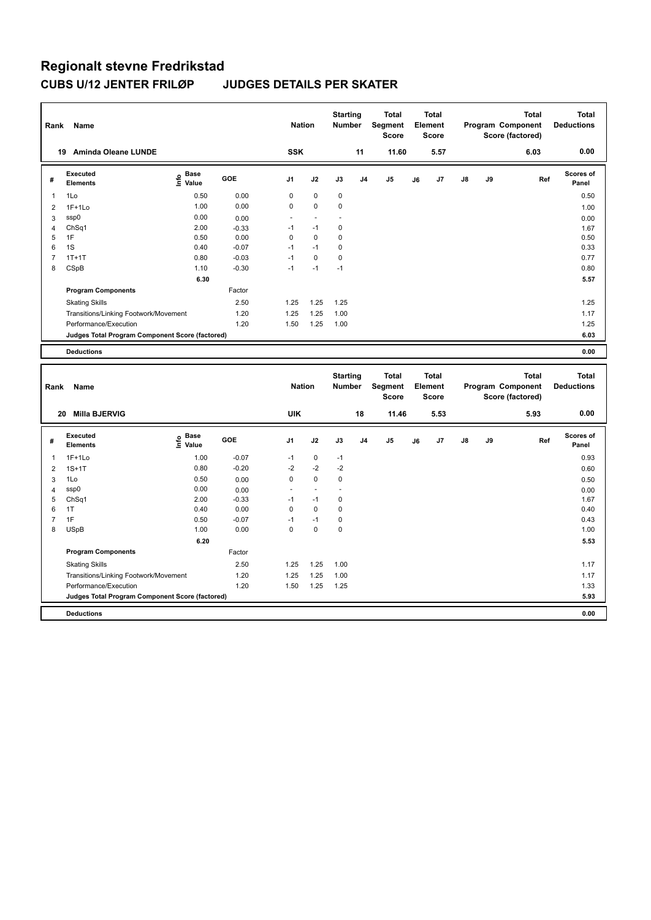| Rank                | Name                                                                     |                              |                    | <b>Nation</b> |                   | <b>Starting</b><br><b>Number</b> |                | <b>Total</b><br>Segment<br><b>Score</b> |    | <b>Total</b><br><b>Element</b><br><b>Score</b> |    |    | <b>Total</b><br>Program Component<br>Score (factored) | <b>Total</b><br><b>Deductions</b> |
|---------------------|--------------------------------------------------------------------------|------------------------------|--------------------|---------------|-------------------|----------------------------------|----------------|-----------------------------------------|----|------------------------------------------------|----|----|-------------------------------------------------------|-----------------------------------|
|                     | 19 Aminda Oleane LUNDE                                                   |                              |                    | <b>SSK</b>    |                   |                                  | 11             | 11.60                                   |    | 5.57                                           |    |    | 6.03                                                  | 0.00                              |
| #                   | <b>Executed</b><br>Elements                                              | <b>Base</b><br>١nfo<br>Value | <b>GOE</b>         | J1            | J2                | J3                               | J <sub>4</sub> | J <sub>5</sub>                          | J6 | J7                                             | J8 | J9 | Ref                                                   | Scores of<br>Panel                |
| 1                   | 1Lo                                                                      | 0.50                         | 0.00               | $\mathbf 0$   | $\mathbf 0$       | $\mathbf 0$                      |                |                                         |    |                                                |    |    |                                                       | 0.50                              |
| $\overline{2}$      | $1F+1Lo$                                                                 | 1.00                         | 0.00               | 0             | $\pmb{0}$         | 0                                |                |                                         |    |                                                |    |    |                                                       | 1.00                              |
| 3                   | ssp0                                                                     | 0.00                         | 0.00               | ÷,            | ÷.                | L,                               |                |                                         |    |                                                |    |    |                                                       | 0.00                              |
| 4                   | ChSq1                                                                    | 2.00                         | $-0.33$            | $-1$          | $-1$              | $\pmb{0}$                        |                |                                         |    |                                                |    |    |                                                       | 1.67                              |
| 5                   | 1F                                                                       | 0.50                         | 0.00               | $\mathbf 0$   | $\mathbf 0$       | $\mathbf 0$                      |                |                                         |    |                                                |    |    |                                                       | 0.50                              |
| 6<br>$\overline{7}$ | 1S<br>$1T+1T$                                                            | 0.40<br>0.80                 | $-0.07$<br>$-0.03$ | $-1$<br>$-1$  | $-1$<br>$\pmb{0}$ | $\mathbf 0$<br>$\pmb{0}$         |                |                                         |    |                                                |    |    |                                                       | 0.33                              |
| 8                   | CSpB                                                                     | 1.10                         | $-0.30$            | $-1$          | $-1$              | $-1$                             |                |                                         |    |                                                |    |    |                                                       | 0.77<br>0.80                      |
|                     |                                                                          | 6.30                         |                    |               |                   |                                  |                |                                         |    |                                                |    |    |                                                       | 5.57                              |
|                     | <b>Program Components</b>                                                |                              | Factor             |               |                   |                                  |                |                                         |    |                                                |    |    |                                                       |                                   |
|                     |                                                                          |                              |                    |               | 1.25              |                                  |                |                                         |    |                                                |    |    |                                                       |                                   |
|                     | <b>Skating Skills</b>                                                    |                              | 2.50               | 1.25          |                   | 1.25                             |                |                                         |    |                                                |    |    |                                                       | 1.25                              |
|                     | Transitions/Linking Footwork/Movement                                    |                              | 1.20<br>1.20       | 1.25<br>1.50  | 1.25<br>1.25      | 1.00<br>1.00                     |                |                                         |    |                                                |    |    |                                                       | 1.17<br>1.25                      |
|                     | Performance/Execution<br>Judges Total Program Component Score (factored) |                              |                    |               |                   |                                  |                |                                         |    |                                                |    |    |                                                       | 6.03                              |
|                     |                                                                          |                              |                    |               |                   |                                  |                |                                         |    |                                                |    |    |                                                       |                                   |
|                     | <b>Deductions</b>                                                        |                              |                    |               |                   |                                  |                |                                         |    |                                                |    |    |                                                       | 0.00                              |
|                     |                                                                          |                              |                    |               |                   |                                  |                |                                         |    |                                                |    |    |                                                       |                                   |
| Rank                | Name                                                                     |                              |                    | <b>Nation</b> |                   | <b>Starting</b><br>Number        |                | <b>Total</b><br>Segment<br><b>Score</b> |    | <b>Total</b><br>Element<br><b>Score</b>        |    |    | <b>Total</b><br>Program Component<br>Score (factored) | <b>Total</b><br><b>Deductions</b> |
|                     | 20 Milla BJERVIG                                                         |                              |                    | <b>UIK</b>    |                   |                                  | 18             | 11.46                                   |    | 5.53                                           |    |    | 5.93                                                  | 0.00                              |
| #                   | <b>Executed</b><br><b>Elements</b>                                       | <b>Base</b><br>lnfo<br>Value | GOE                | J1            | J2                | J3                               | J4             | J <sub>5</sub>                          | J6 | J7                                             | J8 | J9 | Ref                                                   | Scores of<br>Panel                |
| 1                   |                                                                          |                              |                    | $-1$          |                   | $-1$                             |                |                                         |    |                                                |    |    |                                                       |                                   |
| $\overline{2}$      | $1F+1Lo$<br>$1S+1T$                                                      | 1.00<br>0.80                 | $-0.07$<br>$-0.20$ | $-2$          | $\pmb{0}$<br>$-2$ | $-2$                             |                |                                         |    |                                                |    |    |                                                       | 0.93                              |
| 3                   | 1Lo                                                                      | 0.50                         | 0.00               | $\mathbf 0$   | $\mathbf 0$       | $\mathbf 0$                      |                |                                         |    |                                                |    |    |                                                       | 0.60<br>0.50                      |
| 4                   | ssp0                                                                     | 0.00                         | 0.00               |               |                   |                                  |                |                                         |    |                                                |    |    |                                                       | 0.00                              |
| 5                   | ChSq1                                                                    | 2.00                         | $-0.33$            | $-1$          | $-1$              | $\pmb{0}$                        |                |                                         |    |                                                |    |    |                                                       | 1.67                              |
| 6                   | 1T                                                                       | 0.40                         | 0.00               | 0             | $\mathbf 0$       | $\mathbf 0$                      |                |                                         |    |                                                |    |    |                                                       | 0.40                              |
| $\overline{7}$      | 1F                                                                       | 0.50                         | $-0.07$            | $-1$          | $-1$              | $\pmb{0}$                        |                |                                         |    |                                                |    |    |                                                       | 0.43                              |
| 8                   | <b>USpB</b>                                                              | 1.00                         | 0.00               | $\mathbf 0$   | $\mathbf 0$       | $\mathbf 0$                      |                |                                         |    |                                                |    |    |                                                       | 1.00                              |
|                     |                                                                          | 6.20                         |                    |               |                   |                                  |                |                                         |    |                                                |    |    |                                                       | 5.53                              |
|                     | <b>Program Components</b>                                                |                              | Factor             |               |                   |                                  |                |                                         |    |                                                |    |    |                                                       |                                   |
|                     | <b>Skating Skills</b>                                                    |                              | 2.50               | 1.25          | 1.25              | 1.00                             |                |                                         |    |                                                |    |    |                                                       | 1.17                              |
|                     | Transitions/Linking Footwork/Movement                                    |                              | 1.20               | 1.25          | 1.25              | 1.00                             |                |                                         |    |                                                |    |    |                                                       | 1.17                              |
|                     | Performance/Execution                                                    |                              | 1.20               | 1.50          | 1.25              | 1.25                             |                |                                         |    |                                                |    |    |                                                       | 1.33                              |
|                     | Judges Total Program Component Score (factored)                          |                              |                    |               |                   |                                  |                |                                         |    |                                                |    |    |                                                       | 5.93                              |